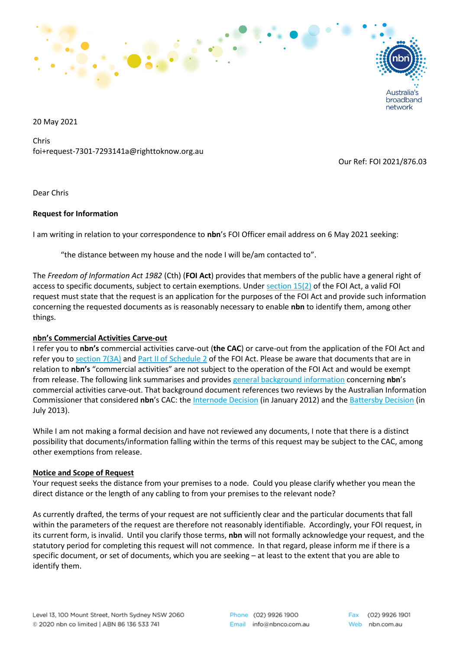

20 May 2021

Chris foi+request-7301-7293141a@righttoknow.org.au

Our Ref: FOI 2021/876.03

network

Dear Chris

## **Request for Information**

I am writing in relation to your correspondence to **nbn**'s FOI Officer email address on 6 May 2021 seeking:

"the distance between my house and the node I will be/am contacted to".

The *Freedom of Information Act 1982* (Cth) (**FOI Act**) provides that members of the public have a general right of access to specific documents, subject to certain exemptions. Under [section 15\(2\)](https://www.legislation.gov.au/Details/C2018C00016/Html/Text#_Toc503522024) of the FOI Act, a valid FOI request must state that the request is an application for the purposes of the FOI Act and provide such information concerning the requested documents as is reasonably necessary to enable **nbn** to identify them, among other things.

## **nbn's Commercial Activities Carve-out**

I refer you to **nbn's** commercial activities carve-out (**the CAC**) or carve-out from the application of the FOI Act and refer you to [section 7\(3A\)](https://www.legislation.gov.au/Details/C2018C00016/Html/Text#_Toc503521997) and Part [II of Schedule](https://www.legislation.gov.au/Details/C2018C00016/Html/Text#_Toc503522246) 2 of the FOI Act. Please be aware that documents that are in relation to **nbn's** "commercial activities" are not subject to the operation of the FOI Act and would be exempt from release. The following link summarises and provides [general background information](https://www.nbnco.com.au/content/dam/nbnco2/2018/documents/Policies/draft-standard-foi-decision-information-180412.pdf) concerning **nbn**'s commercial activities carve-out. That background document references two reviews by the Australian Information Commissioner that considered **nbn**'s CAC: the [Internode Decision](http://www.austlii.edu.au/cgi-bin/viewdoc/au/cases/cth/AICmr/2012/4.html?context=0;query=internode;mask_path=) (in January 2012) and the [Battersby Decision](http://www.austlii.edu.au/cgi-bin/viewdoc/au/cases/cth/AICmr/2013/61.html?context=0;query=nbn%20battersby;mask_path=) (in July 2013).

While I am not making a formal decision and have not reviewed any documents, I note that there is a distinct possibility that documents/information falling within the terms of this request may be subject to the CAC, among other exemptions from release.

## **Notice and Scope of Request**

Your request seeks the distance from your premises to a node. Could you please clarify whether you mean the direct distance or the length of any cabling to from your premises to the relevant node?

As currently drafted, the terms of your request are not sufficiently clear and the particular documents that fall within the parameters of the request are therefore not reasonably identifiable. Accordingly, your FOI request, in its current form, is invalid. Until you clarify those terms, **nbn** will not formally acknowledge your request, and the statutory period for completing this request will not commence. In that regard, please inform me if there is a specific document, or set of documents, which you are seeking – at least to the extent that you are able to identify them.

Phone (02) 9926 1900 Email info@nbnco.com.au

(02) 9926 1901 Web nbn.com.au